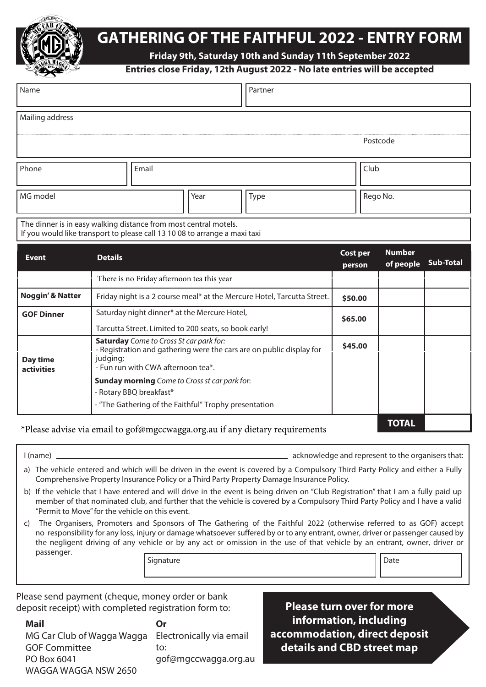

# **GATHERING OF THE FAITHFUL 2022 - ENTRY FORM**

**Friday 9th, Saturday 10th and Sunday 11th September 2022**

## **Entries close Friday, 12th August 2022 - No late entries will be accepted**

| Name                                                                                                                                           |                                                                                                                                                                          |  |      |  | Partner |                           |          |                            |                  |  |
|------------------------------------------------------------------------------------------------------------------------------------------------|--------------------------------------------------------------------------------------------------------------------------------------------------------------------------|--|------|--|---------|---------------------------|----------|----------------------------|------------------|--|
| Mailing address                                                                                                                                |                                                                                                                                                                          |  |      |  |         |                           |          |                            |                  |  |
|                                                                                                                                                |                                                                                                                                                                          |  |      |  |         | Postcode                  |          |                            |                  |  |
| Email<br>Phone                                                                                                                                 |                                                                                                                                                                          |  |      |  |         |                           | Club     |                            |                  |  |
| MG model                                                                                                                                       |                                                                                                                                                                          |  | Year |  | Type    |                           | Rego No. |                            |                  |  |
| The dinner is in easy walking distance from most central motels.<br>If you would like transport to please call 13 10 08 to arrange a maxi taxi |                                                                                                                                                                          |  |      |  |         |                           |          |                            |                  |  |
| <b>Event</b>                                                                                                                                   | <b>Details</b>                                                                                                                                                           |  |      |  |         | <b>Cost per</b><br>person |          | <b>Number</b><br>of people | <b>Sub-Total</b> |  |
|                                                                                                                                                | There is no Friday afternoon tea this year                                                                                                                               |  |      |  |         |                           |          |                            |                  |  |
| <b>Noggin' &amp; Natter</b>                                                                                                                    | Friday night is a 2 course meal* at the Mercure Hotel, Tarcutta Street.                                                                                                  |  |      |  |         |                           | \$50.00  |                            |                  |  |
| <b>GOF Dinner</b>                                                                                                                              | Saturday night dinner* at the Mercure Hotel,<br>Tarcutta Street. Limited to 200 seats, so book early!                                                                    |  |      |  |         |                           | \$65.00  |                            |                  |  |
| Day time<br><b>activities</b>                                                                                                                  | <b>Saturday</b> Come to Cross St car park for:<br>- Registration and gathering were the cars are on public display for<br>judging;<br>- Fun run with CWA afternoon tea*. |  |      |  |         | \$45.00                   |          |                            |                  |  |
|                                                                                                                                                | <b>Sunday morning</b> Come to Cross st car park for:<br>- Rotary BBQ breakfast*<br>- "The Gathering of the Faithful" Trophy presentation                                 |  |      |  |         |                           |          |                            |                  |  |
| *Please advise via email to gof@mgccwagga.org.au if any dietary requirements                                                                   |                                                                                                                                                                          |  |      |  |         |                           |          | <b>TOTAL</b>               |                  |  |

I (name) acknowledge and represent to the organisers that:

- a) The vehicle entered and which will be driven in the event is covered by a Compulsory Third Party Policy and either a Fully Comprehensive Property Insurance Policy or a Third Party Property Damage Insurance Policy.
- b) If the vehicle that I have entered and will drive in the event is being driven on "Club Registration" that I am a fully paid up member of that nominated club, and further that the vehicle is covered by a Compulsory Third Party Policy and I have a valid "Permit to Move" for the vehicle on this event.
- c) The Organisers, Promoters and Sponsors of The Gathering of the Faithful 2022 (otherwise referred to as GOF) accept no responsibility for any loss, injury or damage whatsoever suffered by or to any entrant, owner, driver or passenger caused by the negligent driving of any vehicle or by any act or omission in the use of that vehicle by an entrant, owner, driver or passenger. Signature and Date and Date and Date and Date and Date and Date and Date and Date and Date and Date and Date and Date and Date and Date and Date and Date and Date and Date and Date and Date and Date and Date and Date and D

Please send payment (cheque, money order or bank deposit receipt) with completed registration form to:

**Mail** MG Car Club of Wagga Wagga GOF Committee PO Box 6041 WAGGA WAGGA NSW 2650 **Or** Electronically via email to: gof@mgccwagga.org.au

**Please turn over for more information, including accommodation, direct deposit details and CBD street map**